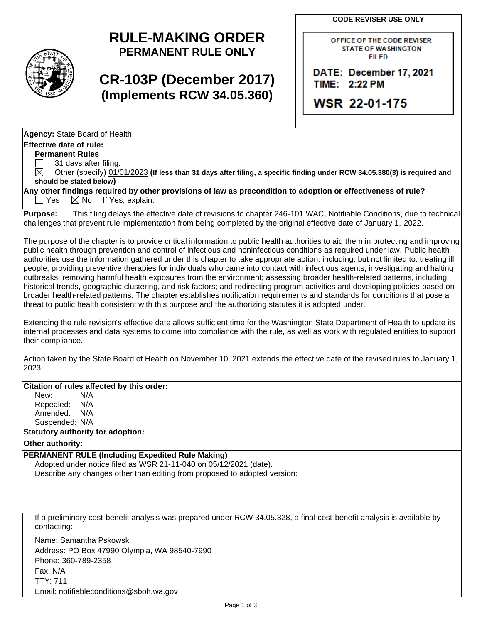**CODE REVISER USE ONLY**

## **RULE-MAKING ORDER PERMANENT RULE ONLY**

## **CR-103P (December 2017) (Implements RCW 34.05.360)**

OFFICE OF THE CODE REVISER **STATE OF WASHINGTON FILED** 

DATE: December 17, 2021 TIME: 2:22 PM

**WSR 22-01-175** 

| Agency: State Board of Health                                                                                                                                                                                                                                                                                                                                                                                                                                                                                                                                                                                                                                                                                                                                                                                                                                                                                                                                                                                                                                                                                                                                                         |
|---------------------------------------------------------------------------------------------------------------------------------------------------------------------------------------------------------------------------------------------------------------------------------------------------------------------------------------------------------------------------------------------------------------------------------------------------------------------------------------------------------------------------------------------------------------------------------------------------------------------------------------------------------------------------------------------------------------------------------------------------------------------------------------------------------------------------------------------------------------------------------------------------------------------------------------------------------------------------------------------------------------------------------------------------------------------------------------------------------------------------------------------------------------------------------------|
| <b>Effective date of rule:</b>                                                                                                                                                                                                                                                                                                                                                                                                                                                                                                                                                                                                                                                                                                                                                                                                                                                                                                                                                                                                                                                                                                                                                        |
| <b>Permanent Rules</b>                                                                                                                                                                                                                                                                                                                                                                                                                                                                                                                                                                                                                                                                                                                                                                                                                                                                                                                                                                                                                                                                                                                                                                |
| 31 days after filing.                                                                                                                                                                                                                                                                                                                                                                                                                                                                                                                                                                                                                                                                                                                                                                                                                                                                                                                                                                                                                                                                                                                                                                 |
| $\boxtimes$<br>Other (specify) 01/01/2023 (If less than 31 days after filing, a specific finding under RCW 34.05.380(3) is required and                                                                                                                                                                                                                                                                                                                                                                                                                                                                                                                                                                                                                                                                                                                                                                                                                                                                                                                                                                                                                                               |
| should be stated below)                                                                                                                                                                                                                                                                                                                                                                                                                                                                                                                                                                                                                                                                                                                                                                                                                                                                                                                                                                                                                                                                                                                                                               |
| Any other findings required by other provisions of law as precondition to adoption or effectiveness of rule?<br>$\Box$ Yes<br>$\boxtimes$ No<br>If Yes, explain:                                                                                                                                                                                                                                                                                                                                                                                                                                                                                                                                                                                                                                                                                                                                                                                                                                                                                                                                                                                                                      |
| This filing delays the effective date of revisions to chapter 246-101 WAC, Notifiable Conditions, due to technical<br><b>Purpose:</b><br>challenges that prevent rule implementation from being completed by the original effective date of January 1, 2022.                                                                                                                                                                                                                                                                                                                                                                                                                                                                                                                                                                                                                                                                                                                                                                                                                                                                                                                          |
| The purpose of the chapter is to provide critical information to public health authorities to aid them in protecting and improving<br>public health through prevention and control of infectious and noninfectious conditions as required under law. Public health<br>authorities use the information gathered under this chapter to take appropriate action, including, but not limited to: treating ill<br>people; providing preventive therapies for individuals who came into contact with infectious agents; investigating and halting<br>outbreaks; removing harmful health exposures from the environment; assessing broader health-related patterns, including<br>historical trends, geographic clustering, and risk factors; and redirecting program activities and developing policies based on<br>broader health-related patterns. The chapter establishes notification requirements and standards for conditions that pose a<br>threat to public health consistent with this purpose and the authorizing statutes it is adopted under.<br>Extending the rule revision's effective date allows sufficient time for the Washington State Department of Health to update its |
| internal processes and data systems to come into compliance with the rule, as well as work with regulated entities to support<br>their compliance.<br>Action taken by the State Board of Health on November 10, 2021 extends the effective date of the revised rules to January 1,                                                                                                                                                                                                                                                                                                                                                                                                                                                                                                                                                                                                                                                                                                                                                                                                                                                                                                    |
| 2023.                                                                                                                                                                                                                                                                                                                                                                                                                                                                                                                                                                                                                                                                                                                                                                                                                                                                                                                                                                                                                                                                                                                                                                                 |
| Citation of rules affected by this order:                                                                                                                                                                                                                                                                                                                                                                                                                                                                                                                                                                                                                                                                                                                                                                                                                                                                                                                                                                                                                                                                                                                                             |
| New:<br>N/A                                                                                                                                                                                                                                                                                                                                                                                                                                                                                                                                                                                                                                                                                                                                                                                                                                                                                                                                                                                                                                                                                                                                                                           |
| Repealed:<br>N/A                                                                                                                                                                                                                                                                                                                                                                                                                                                                                                                                                                                                                                                                                                                                                                                                                                                                                                                                                                                                                                                                                                                                                                      |
| Amended:<br>N/A                                                                                                                                                                                                                                                                                                                                                                                                                                                                                                                                                                                                                                                                                                                                                                                                                                                                                                                                                                                                                                                                                                                                                                       |
| Suspended: N/A                                                                                                                                                                                                                                                                                                                                                                                                                                                                                                                                                                                                                                                                                                                                                                                                                                                                                                                                                                                                                                                                                                                                                                        |
| <b>Statutory authority for adoption:</b>                                                                                                                                                                                                                                                                                                                                                                                                                                                                                                                                                                                                                                                                                                                                                                                                                                                                                                                                                                                                                                                                                                                                              |
| Other authority:                                                                                                                                                                                                                                                                                                                                                                                                                                                                                                                                                                                                                                                                                                                                                                                                                                                                                                                                                                                                                                                                                                                                                                      |
| <b>PERMANENT RULE (Including Expedited Rule Making)</b><br>Adopted under notice filed as WSR 21-11-040 on 05/12/2021 (date).<br>Describe any changes other than editing from proposed to adopted version:                                                                                                                                                                                                                                                                                                                                                                                                                                                                                                                                                                                                                                                                                                                                                                                                                                                                                                                                                                             |
| If a preliminary cost-benefit analysis was prepared under RCW 34.05.328, a final cost-benefit analysis is available by<br>contacting:                                                                                                                                                                                                                                                                                                                                                                                                                                                                                                                                                                                                                                                                                                                                                                                                                                                                                                                                                                                                                                                 |
| Name: Samantha Pskowski<br>Address: PO Box 47990 Olympia, WA 98540-7990<br>Phone: 360-780-2358                                                                                                                                                                                                                                                                                                                                                                                                                                                                                                                                                                                                                                                                                                                                                                                                                                                                                                                                                                                                                                                                                        |

Phone: 360-789-2358 Fax: N/A TTY: 711 Email: notifiableconditions@sboh.wa.gov